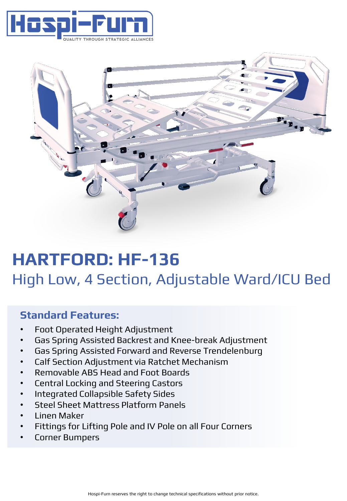



# **HARTFORD: HF-136** High Low, 4 Section, Adjustable Ward/ICU Bed

### **Standard Features:**

- Foot Operated Height Adjustment
- Gas Spring Assisted Backrest and Knee-break Adjustment
- Gas Spring Assisted Forward and Reverse Trendelenburg
- Calf Section Adjustment via Ratchet Mechanism
- Removable ABS Head and Foot Boards
- Central Locking and Steering Castors
- Integrated Collapsible Safety Sides
- Steel Sheet Mattress Platform Panels
- Linen Maker
- Fittings for Lifting Pole and IV Pole on all Four Corners
- Corner Bumpers